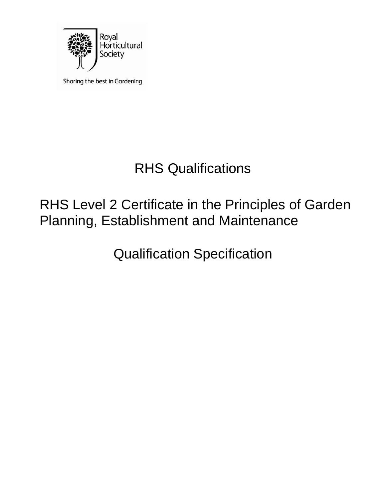

Sharing the best in Gardening

# RHS Qualifications

# RHS Level 2 Certificate in the Principles of Garden Planning, Establishment and Maintenance

Qualification Specification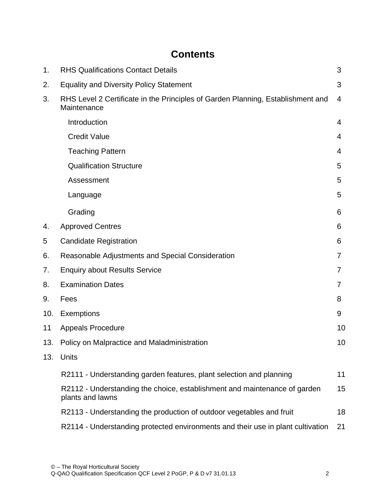# **Contents**

| 1.  | <b>RHS Qualifications Contact Details</b>                                                      | 3  |
|-----|------------------------------------------------------------------------------------------------|----|
| 2.  | <b>Equality and Diversity Policy Statement</b>                                                 |    |
| 3.  | RHS Level 2 Certificate in the Principles of Garden Planning, Establishment and<br>Maintenance | 4  |
|     | Introduction                                                                                   | 4  |
|     | <b>Credit Value</b>                                                                            | 4  |
|     | <b>Teaching Pattern</b>                                                                        | 4  |
|     | <b>Qualification Structure</b>                                                                 | 5  |
|     | Assessment                                                                                     | 5  |
|     | Language                                                                                       | 5  |
|     | Grading                                                                                        | 6  |
| 4.  | <b>Approved Centres</b>                                                                        | 6  |
| 5   | <b>Candidate Registration</b>                                                                  | 6  |
| 6.  | Reasonable Adjustments and Special Consideration                                               | 7  |
| 7.  | <b>Enquiry about Results Service</b>                                                           | 7  |
| 8.  | <b>Examination Dates</b>                                                                       | 7  |
| 9.  | Fees                                                                                           | 8  |
| 10. | Exemptions                                                                                     | 9  |
| 11  | <b>Appeals Procedure</b>                                                                       | 10 |
| 13. | Policy on Malpractice and Maladministration                                                    | 10 |
| 13. | Units                                                                                          |    |
|     | R2111 - Understanding garden features, plant selection and planning                            | 11 |
|     | R2112 - Understanding the choice, establishment and maintenance of garden<br>plants and lawns  | 15 |
|     | R2113 - Understanding the production of outdoor vegetables and fruit                           | 18 |
|     | R2114 - Understanding protected environments and their use in plant cultivation                | 21 |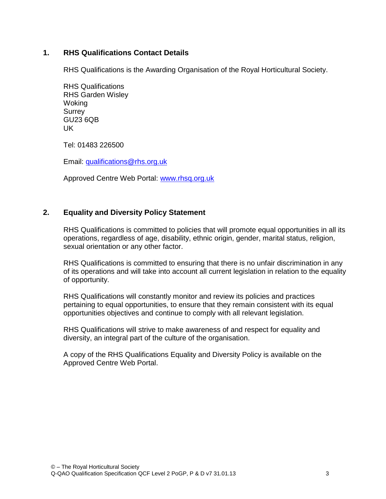#### **1. RHS Qualifications Contact Details**

RHS Qualifications is the Awarding Organisation of the Royal Horticultural Society.

RHS Qualifications RHS Garden Wisley Woking **Surrey** GU23 6QB UK

Tel: 01483 226500

Email: [qualifications@rhs.org.uk](mailto:qualifications@rhs.org.uk)

Approved Centre Web Portal: [www.rhsq.org.uk](http://www.rhsq.org.uk/)

#### **2. Equality and Diversity Policy Statement**

RHS Qualifications is committed to policies that will promote equal opportunities in all its operations, regardless of age, disability, ethnic origin, gender, marital status, religion, sexual orientation or any other factor.

RHS Qualifications is committed to ensuring that there is no unfair discrimination in any of its operations and will take into account all current legislation in relation to the equality of opportunity.

RHS Qualifications will constantly monitor and review its policies and practices pertaining to equal opportunities, to ensure that they remain consistent with its equal opportunities objectives and continue to comply with all relevant legislation.

RHS Qualifications will strive to make awareness of and respect for equality and diversity, an integral part of the culture of the organisation.

A copy of the RHS Qualifications Equality and Diversity Policy is available on the Approved Centre Web Portal.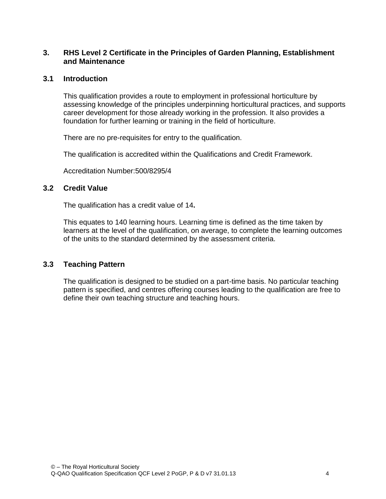#### **3. RHS Level 2 Certificate in the Principles of Garden Planning, Establishment and Maintenance**

#### **3.1 Introduction**

This qualification provides a route to employment in professional horticulture by assessing knowledge of the principles underpinning horticultural practices, and supports career development for those already working in the profession. It also provides a foundation for further learning or training in the field of horticulture.

There are no pre-requisites for entry to the qualification.

The qualification is accredited within the Qualifications and Credit Framework.

Accreditation Number:500/8295/4

#### **3.2 Credit Value**

The qualification has a credit value of 14**.**

This equates to 140 learning hours. Learning time is defined as the time taken by learners at the level of the qualification, on average, to complete the learning outcomes of the units to the standard determined by the assessment criteria.

#### **3.3 Teaching Pattern**

The qualification is designed to be studied on a part-time basis. No particular teaching pattern is specified, and centres offering courses leading to the qualification are free to define their own teaching structure and teaching hours.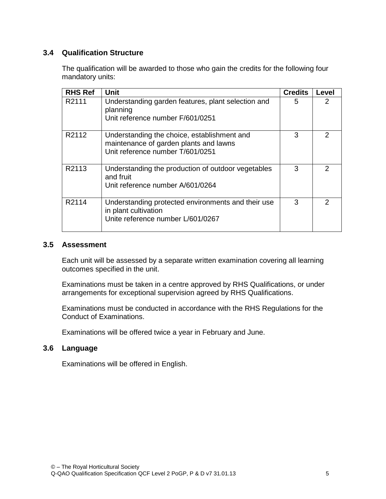#### **3.4 Qualification Structure**

The qualification will be awarded to those who gain the credits for the following four mandatory units:

| <b>RHS Ref</b> | <b>Unit</b>                                                                                                               | <b>Credits</b> | Level |
|----------------|---------------------------------------------------------------------------------------------------------------------------|----------------|-------|
| R2111          | Understanding garden features, plant selection and<br>planning<br>Unit reference number F/601/0251                        | 5              |       |
| R2112          | Understanding the choice, establishment and<br>maintenance of garden plants and lawns<br>Unit reference number T/601/0251 | 3              | າ     |
| R2113          | Understanding the production of outdoor vegetables<br>and fruit<br>Unit reference number A/601/0264                       | 3              | 2     |
| R2114          | Understanding protected environments and their use<br>in plant cultivation<br>Unite reference number L/601/0267           | 3              |       |

#### **3.5 Assessment**

Each unit will be assessed by a separate written examination covering all learning outcomes specified in the unit.

Examinations must be taken in a centre approved by RHS Qualifications, or under arrangements for exceptional supervision agreed by RHS Qualifications.

Examinations must be conducted in accordance with the RHS Regulations for the Conduct of Examinations.

Examinations will be offered twice a year in February and June.

#### **3.6 Language**

Examinations will be offered in English.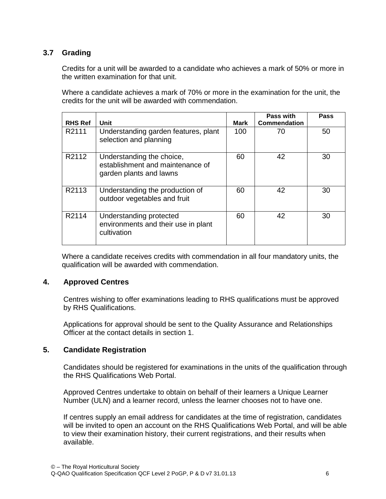#### **3.7 Grading**

Credits for a unit will be awarded to a candidate who achieves a mark of 50% or more in the written examination for that unit.

Where a candidate achieves a mark of 70% or more in the examination for the unit, the credits for the unit will be awarded with commendation.

| <b>RHS Ref</b> | Unit                                                                                     | <b>Mark</b> | <b>Pass with</b><br><b>Commendation</b> | Pass |
|----------------|------------------------------------------------------------------------------------------|-------------|-----------------------------------------|------|
| R2111          | Understanding garden features, plant<br>selection and planning                           | 100         | 70                                      | 50   |
| R2112          | Understanding the choice,<br>establishment and maintenance of<br>garden plants and lawns | 60          | 42                                      | 30   |
| R2113          | Understanding the production of<br>outdoor vegetables and fruit                          | 60          | 42                                      | 30   |
| R2114          | Understanding protected<br>environments and their use in plant<br>cultivation            | 60          | 42                                      | 30   |

Where a candidate receives credits with commendation in all four mandatory units, the qualification will be awarded with commendation.

#### **4. Approved Centres**

Centres wishing to offer examinations leading to RHS qualifications must be approved by RHS Qualifications.

Applications for approval should be sent to the Quality Assurance and Relationships Officer at the contact details in section 1.

#### **5. Candidate Registration**

Candidates should be registered for examinations in the units of the qualification through the RHS Qualifications Web Portal.

Approved Centres undertake to obtain on behalf of their learners a Unique Learner Number (ULN) and a learner record, unless the learner chooses not to have one.

If centres supply an email address for candidates at the time of registration, candidates will be invited to open an account on the RHS Qualifications Web Portal, and will be able to view their examination history, their current registrations, and their results when available.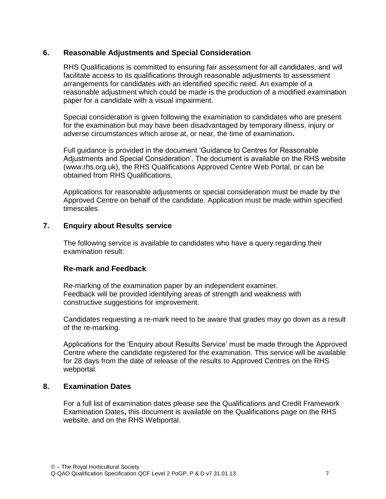#### **6. Reasonable Adjustments and Special Consideration**

RHS Qualifications is committed to ensuring fair assessment for all candidates, and will facilitate access to its qualifications through reasonable adjustments to assessment arrangements for candidates with an identified specific need. An example of a reasonable adjustment which could be made is the production of a modified examination paper for a candidate with a visual impairment.

Special consideration is given following the examination to candidates who are present for the examination but may have been disadvantaged by temporary illness, injury or adverse circumstances which arose at, or near, the time of examination**.**

Full guidance is provided in the document 'Guidance to Centres for Reasonable Adjustments and Special Consideration'. The document is available on the RHS website (www.rhs.org.uk), the RHS Qualifications Approved Centre Web Portal, or can be obtained from RHS Qualifications.

Applications for reasonable adjustments or special consideration must be made by the Approved Centre on behalf of the candidate. Application must be made within specified timescales.

#### **7. Enquiry about Results service**

The following service is available to candidates who have a query regarding their examination result:

#### **Re-mark and Feedback**

Re-marking of the examination paper by an independent examiner. Feedback will be provided identifying areas of strength and weakness with constructive suggestions for improvement.

Candidates requesting a re-mark need to be aware that grades may go down as a result of the re-marking.

Applications for the 'Enquiry about Results Service' must be made through the Approved Centre where the candidate registered for the examination. This service will be available for 28 days from the date of release of the results to Approved Centres on the RHS webportal.

#### **8. Examination Dates**

For a full list of examination dates please see the Qualifications and Credit Framework Examination Dates**,** this document is available on the Qualifications page on the RHS website, and on the RHS Webportal.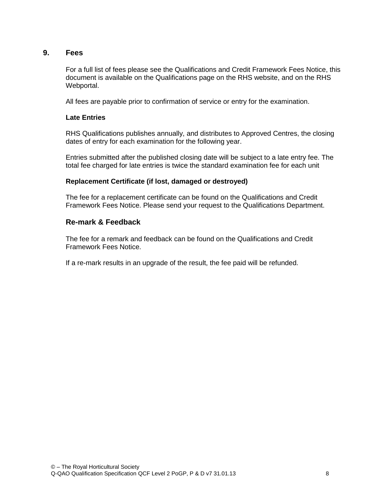#### **9. Fees**

For a full list of fees please see the Qualifications and Credit Framework Fees Notice, this document is available on the Qualifications page on the RHS website, and on the RHS Webportal.

All fees are payable prior to confirmation of service or entry for the examination.

#### **Late Entries**

RHS Qualifications publishes annually, and distributes to Approved Centres, the closing dates of entry for each examination for the following year.

Entries submitted after the published closing date will be subject to a late entry fee. The total fee charged for late entries is twice the standard examination fee for each unit

#### **Replacement Certificate (if lost, damaged or destroyed)**

The fee for a replacement certificate can be found on the Qualifications and Credit Framework Fees Notice. Please send your request to the Qualifications Department.

#### **Re-mark & Feedback**

The fee for a remark and feedback can be found on the Qualifications and Credit Framework Fees Notice.

If a re-mark results in an upgrade of the result, the fee paid will be refunded.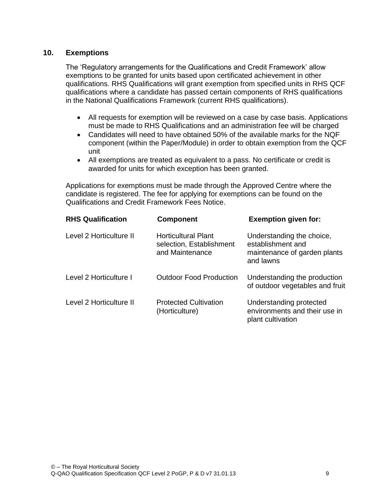#### **10. Exemptions**

The 'Regulatory arrangements for the Qualifications and Credit Framework' allow exemptions to be granted for units based upon certificated achievement in other qualifications. RHS Qualifications will grant exemption from specified units in RHS QCF qualifications where a candidate has passed certain components of RHS qualifications in the National Qualifications Framework (current RHS qualifications).

- All requests for exemption will be reviewed on a case by case basis. Applications must be made to RHS Qualifications and an administration fee will be charged
- Candidates will need to have obtained 50% of the available marks for the NQF component (within the Paper/Module) in order to obtain exemption from the QCF unit
- All exemptions are treated as equivalent to a pass. No certificate or credit is awarded for units for which exception has been granted.

Applications for exemptions must be made through the Approved Centre where the candidate is registered. The fee for applying for exemptions can be found on the Qualifications and Credit Framework Fees Notice.

| <b>RHS Qualification</b> | <b>Component</b>                                                          | <b>Exemption given for:</b>                                                                 |
|--------------------------|---------------------------------------------------------------------------|---------------------------------------------------------------------------------------------|
| Level 2 Horticulture II  | <b>Horticultural Plant</b><br>selection, Establishment<br>and Maintenance | Understanding the choice,<br>establishment and<br>maintenance of garden plants<br>and lawns |
| Level 2 Horticulture I   | <b>Outdoor Food Production</b>                                            | Understanding the production<br>of outdoor vegetables and fruit                             |
| Level 2 Horticulture II  | <b>Protected Cultivation</b><br>(Horticulture)                            | Understanding protected<br>environments and their use in<br>plant cultivation               |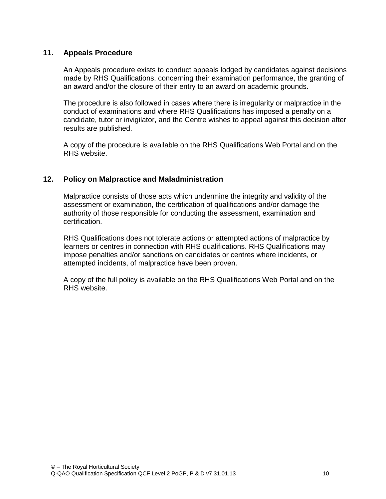#### **11. Appeals Procedure**

An Appeals procedure exists to conduct appeals lodged by candidates against decisions made by RHS Qualifications, concerning their examination performance, the granting of an award and/or the closure of their entry to an award on academic grounds.

The procedure is also followed in cases where there is irregularity or malpractice in the conduct of examinations and where RHS Qualifications has imposed a penalty on a candidate, tutor or invigilator, and the Centre wishes to appeal against this decision after results are published.

A copy of the procedure is available on the RHS Qualifications Web Portal and on the RHS website.

#### **12. Policy on Malpractice and Maladministration**

Malpractice consists of those acts which undermine the integrity and validity of the assessment or examination, the certification of qualifications and/or damage the authority of those responsible for conducting the assessment, examination and certification.

RHS Qualifications does not tolerate actions or attempted actions of malpractice by learners or centres in connection with RHS qualifications. RHS Qualifications may impose penalties and/or sanctions on candidates or centres where incidents, or attempted incidents, of malpractice have been proven.

A copy of the full policy is available on the RHS Qualifications Web Portal and on the RHS website.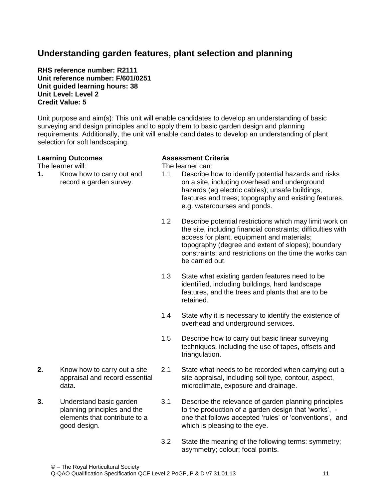# **Understanding garden features, plant selection and planning**

**RHS reference number: R2111 Unit reference number: F/601/0251 Unit guided learning hours: 38 Unit Level: Level 2 Credit Value: 5**

Unit purpose and aim(s): This unit will enable candidates to develop an understanding of basic surveying and design principles and to apply them to basic garden design and planning requirements. Additionally, the unit will enable candidates to develop an understanding of plant selection for soft landscaping.

#### **Learning Outcomes**

The learner will:

**1.** Know how to carry out and record a garden survey.

**2.** Know how to carry out a site

**3.** Understand basic garden

good design.

data.

appraisal and record essential

planning principles and the elements that contribute to a

#### **Assessment Criteria**

The learner can:

- 1.1 Describe how to identify potential hazards and risks on a site, including overhead and underground hazards (eg electric cables); unsafe buildings, features and trees; topography and existing features, e.g. watercourses and ponds.
- 1.2 Describe potential restrictions which may limit work on the site, including financial constraints; difficulties with access for plant, equipment and materials; topography (degree and extent of slopes); boundary constraints; and restrictions on the time the works can be carried out.
- 1.3 State what existing garden features need to be identified, including buildings, hard landscape features, and the trees and plants that are to be retained.
- 1.4 State why it is necessary to identify the existence of overhead and underground services.
- 1.5 Describe how to carry out basic linear surveying techniques, including the use of tapes, offsets and triangulation.
- 2.1 State what needs to be recorded when carrying out a site appraisal, including soil type, contour, aspect, microclimate, exposure and drainage.
- 3.1 Describe the relevance of garden planning principles to the production of a garden design that 'works', one that follows accepted 'rules' or 'conventions', and which is pleasing to the eye.
- 3.2 State the meaning of the following terms: symmetry; asymmetry; colour; focal points.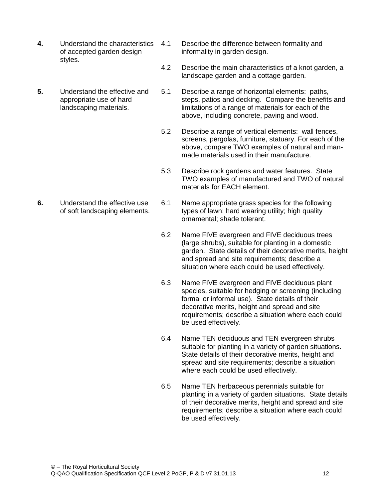- **4.** Understand the characteristics of accepted garden design styles.
- **5.** Understand the effective and appropriate use of hard landscaping materials.

**6.** Understand the effective use of soft landscaping elements.

- 4.1 Describe the difference between formality and informality in garden design.
- 4.2 Describe the main characteristics of a knot garden, a landscape garden and a cottage garden.
- 5.1 Describe a range of horizontal elements: paths, steps, patios and decking. Compare the benefits and limitations of a range of materials for each of the above, including concrete, paving and wood.
- 5.2 Describe a range of vertical elements: wall fences, screens, pergolas, furniture, statuary. For each of the above, compare TWO examples of natural and manmade materials used in their manufacture.
- 5.3 Describe rock gardens and water features. State TWO examples of manufactured and TWO of natural materials for EACH element.
- 6.1 Name appropriate grass species for the following types of lawn: hard wearing utility; high quality ornamental; shade tolerant.
- 6.2 Name FIVE evergreen and FIVE deciduous trees (large shrubs), suitable for planting in a domestic garden. State details of their decorative merits, height and spread and site requirements; describe a situation where each could be used effectively.
- 6.3 Name FIVE evergreen and FIVE deciduous plant species, suitable for hedging or screening (including formal or informal use). State details of their decorative merits, height and spread and site requirements; describe a situation where each could be used effectively.
- 6.4 Name TEN deciduous and TEN evergreen shrubs suitable for planting in a variety of garden situations. State details of their decorative merits, height and spread and site requirements; describe a situation where each could be used effectively.
- 6.5 Name TEN herbaceous perennials suitable for planting in a variety of garden situations. State details of their decorative merits, height and spread and site requirements; describe a situation where each could be used effectively.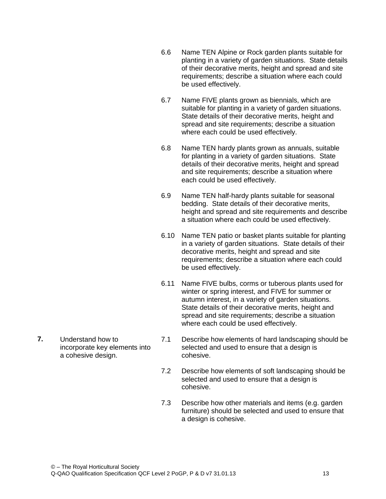- 6.6 Name TEN Alpine or Rock garden plants suitable for planting in a variety of garden situations. State details of their decorative merits, height and spread and site requirements; describe a situation where each could be used effectively.
- 6.7 Name FIVE plants grown as biennials, which are suitable for planting in a variety of garden situations. State details of their decorative merits, height and spread and site requirements; describe a situation where each could be used effectively.
- 6.8 Name TEN hardy plants grown as annuals, suitable for planting in a variety of garden situations. State details of their decorative merits, height and spread and site requirements; describe a situation where each could be used effectively.
- 6.9 Name TEN half-hardy plants suitable for seasonal bedding. State details of their decorative merits, height and spread and site requirements and describe a situation where each could be used effectively.
- 6.10 Name TEN patio or basket plants suitable for planting in a variety of garden situations. State details of their decorative merits, height and spread and site requirements; describe a situation where each could be used effectively.
- 6.11 Name FIVE bulbs, corms or tuberous plants used for winter or spring interest, and FIVE for summer or autumn interest, in a variety of garden situations. State details of their decorative merits, height and spread and site requirements; describe a situation where each could be used effectively.
- 7.1 Describe how elements of hard landscaping should be selected and used to ensure that a design is cohesive.
- 7.2 Describe how elements of soft landscaping should be selected and used to ensure that a design is cohesive.
- 7.3 Describe how other materials and items (e.g. garden furniture) should be selected and used to ensure that a design is cohesive.
- **7.** Understand how to incorporate key elements into a cohesive design.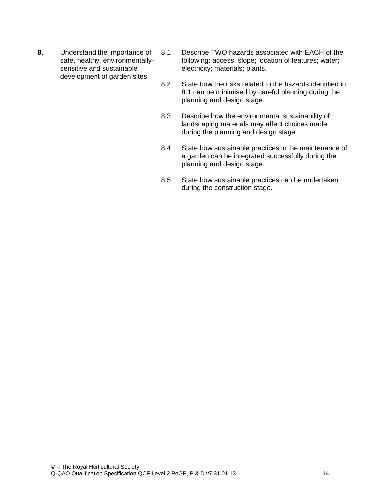- **8.** Understand the importance of safe, healthy, environmentallysensitive and sustainable development of garden sites.
- 8.1 Describe TWO hazards associated with EACH of the following: access; slope; location of features; water; electricity; materials; plants.
	- 8.2 State how the risks related to the hazards identified in 8.1 can be minimised by careful planning during the planning and design stage.
	- 8.3 Describe how the environmental sustainability of landscaping materials may affect choices made during the planning and design stage.
	- 8.4 State how sustainable practices in the maintenance of a garden can be integrated successfully during the planning and design stage.
	- 8.5 State how sustainable practices can be undertaken during the construction stage.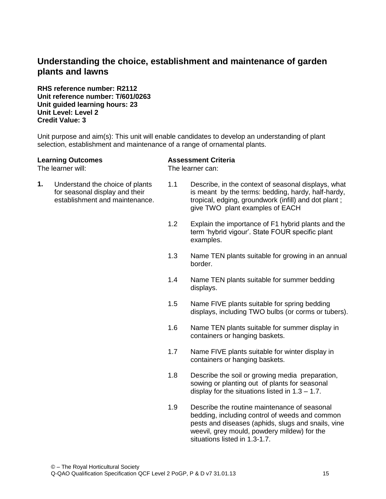# **Understanding the choice, establishment and maintenance of garden plants and lawns**

**RHS reference number: R2112 Unit reference number: T/601/0263 Unit guided learning hours: 23 Unit Level: Level 2 Credit Value: 3**

Unit purpose and aim(s): This unit will enable candidates to develop an understanding of plant selection, establishment and maintenance of a range of ornamental plants.

| <b>Learning Outcomes</b><br>The learner will: |                                                                                                     | <b>Assessment Criteria</b><br>The learner can: |                                                                                                                                                                                                      |  |
|-----------------------------------------------|-----------------------------------------------------------------------------------------------------|------------------------------------------------|------------------------------------------------------------------------------------------------------------------------------------------------------------------------------------------------------|--|
| 1.                                            | Understand the choice of plants<br>for seasonal display and their<br>establishment and maintenance. | 1.1                                            | Describe, in the context of seasonal displays, what<br>is meant by the terms: bedding, hardy, half-hardy,<br>tropical, edging, groundwork (infill) and dot plant;<br>give TWO plant examples of EACH |  |
|                                               |                                                                                                     | 1.2                                            | Explain the importance of F1 hybrid plants and the<br>term 'hybrid vigour'. State FOUR specific plant<br>examples.                                                                                   |  |
|                                               |                                                                                                     | 1.3                                            | Name TEN plants suitable for growing in an annual<br>border.                                                                                                                                         |  |
|                                               |                                                                                                     | 1.4                                            | Name TEN plants suitable for summer bedding<br>displays.                                                                                                                                             |  |
|                                               |                                                                                                     | 1.5                                            | Name FIVE plants suitable for spring bedding<br>displays, including TWO bulbs (or corms or tubers).                                                                                                  |  |
|                                               |                                                                                                     | 1.6                                            | Name TEN plants suitable for summer display in<br>containers or hanging baskets.                                                                                                                     |  |
|                                               |                                                                                                     | 1.7                                            | Name FIVE plants suitable for winter display in<br>containers or hanging baskets.                                                                                                                    |  |
|                                               |                                                                                                     | 1.8                                            | Describe the soil or growing media preparation,<br>sowing or planting out of plants for seasonal<br>display for the situations listed in $1.3 - 1.7$ .                                               |  |
|                                               |                                                                                                     | 1.9                                            | Describe the routine maintenance of seasonal<br>bedding, including control of weeds and common<br>pests and diseases (aphids, slugs and snails, vine                                                 |  |

weevil, grey mould, powdery mildew) for the

situations listed in 1.3-1.7.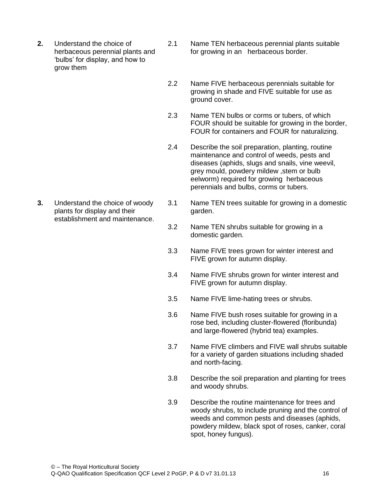- **2.** Understand the choice of herbaceous perennial plants and 'bulbs' for display, and how to grow them
- 2.1 Name TEN herbaceous perennial plants suitable for growing in an herbaceous border.
- 2.2 Name FIVE herbaceous perennials suitable for growing in shade and FIVE suitable for use as ground cover.
- 2.3 Name TEN bulbs or corms or tubers, of which FOUR should be suitable for growing in the border, FOUR for containers and FOUR for naturalizing.
- 2.4 Describe the soil preparation, planting, routine maintenance and control of weeds, pests and diseases (aphids, slugs and snails, vine weevil, grey mould, powdery mildew ,stem or bulb eelworm) required for growing herbaceous perennials and bulbs, corms or tubers.
- 3.1 Name TEN trees suitable for growing in a domestic garden.
- 3.2 Name TEN shrubs suitable for growing in a domestic garden.
- 3.3 Name FIVE trees grown for winter interest and FIVE grown for autumn display.
- 3.4 Name FIVE shrubs grown for winter interest and FIVE grown for autumn display.
- 3.5 Name FIVE lime-hating trees or shrubs.
- 3.6 Name FIVE bush roses suitable for growing in a rose bed, including cluster-flowered (floribunda) and large-flowered (hybrid tea) examples.
- 3.7 Name FIVE climbers and FIVE wall shrubs suitable for a variety of garden situations including shaded and north-facing.
- 3.8 Describe the soil preparation and planting for trees and woody shrubs.
- 3.9 Describe the routine maintenance for trees and woody shrubs, to include pruning and the control of weeds and common pests and diseases (aphids, powdery mildew, black spot of roses, canker, coral spot, honey fungus).

**3.** Understand the choice of woody plants for display and their establishment and maintenance.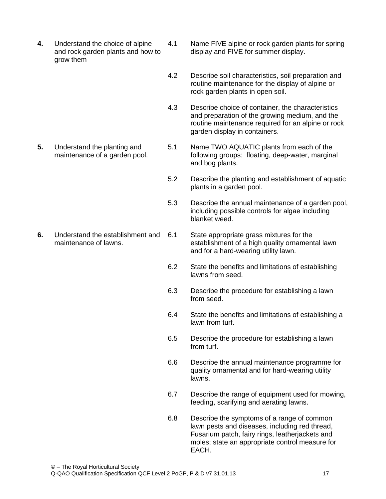- **4.** Understand the choice of alpine and rock garden plants and how to grow them
	- 4.1 Name FIVE alpine or rock garden plants for spring display and FIVE for summer display.
	- 4.2 Describe soil characteristics, soil preparation and routine maintenance for the display of alpine or rock garden plants in open soil.
	- 4.3 Describe choice of container, the characteristics and preparation of the growing medium, and the routine maintenance required for an alpine or rock garden display in containers.
	- 5.1 Name TWO AQUATIC plants from each of the following groups: floating, deep-water, marginal and bog plants.
	- 5.2 Describe the planting and establishment of aquatic plants in a garden pool.
	- 5.3 Describe the annual maintenance of a garden pool, including possible controls for algae including blanket weed.
	- 6.1 State appropriate grass mixtures for the establishment of a high quality ornamental lawn and for a hard-wearing utility lawn.
	- 6.2 State the benefits and limitations of establishing lawns from seed.
	- 6.3 Describe the procedure for establishing a lawn from seed.
	- 6.4 State the benefits and limitations of establishing a lawn from turf.
	- 6.5 Describe the procedure for establishing a lawn from turf.
	- 6.6 Describe the annual maintenance programme for quality ornamental and for hard-wearing utility lawns.
	- 6.7 Describe the range of equipment used for mowing, feeding, scarifying and aerating lawns.
	- 6.8 Describe the symptoms of a range of common lawn pests and diseases, including red thread, Fusarium patch, fairy rings, leatherjackets and moles; state an appropriate control measure for EACH.

**5.** Understand the planting and maintenance of a garden pool.

**6.** Understand the establishment and maintenance of lawns.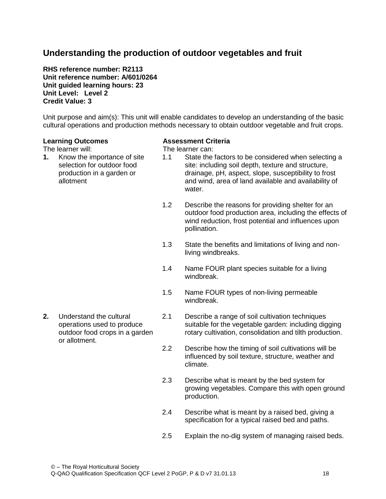### **Understanding the production of outdoor vegetables and fruit**

**RHS reference number: R2113 Unit reference number: A/601/0264 Unit guided learning hours: 23 Unit Level: Level 2 Credit Value: 3**

Unit purpose and aim(s): This unit will enable candidates to develop an understanding of the basic cultural operations and production methods necessary to obtain outdoor vegetable and fruit crops.

#### **Learning Outcomes**

The learner will:

**1.** Know the importance of site selection for outdoor food production in a garden or allotment

**2.** Understand the cultural

or allotment.

operations used to produce outdoor food crops in a garden

#### **Assessment Criteria**

The learner can:

- 1.1 State the factors to be considered when selecting a site: including soil depth, texture and structure, drainage, pH, aspect, slope, susceptibility to frost and wind, area of land available and availability of water.
- 1.2 Describe the reasons for providing shelter for an outdoor food production area, including the effects of wind reduction, frost potential and influences upon pollination.
- 1.3 State the benefits and limitations of living and nonliving windbreaks.
- 1.4 Name FOUR plant species suitable for a living windbreak.
- 1.5 Name FOUR types of non-living permeable windbreak.
- 2.1 Describe a range of soil cultivation techniques suitable for the vegetable garden: including digging rotary cultivation, consolidation and tilth production.
- 2.2 Describe how the timing of soil cultivations will be influenced by soil texture, structure, weather and climate.
- 2.3 Describe what is meant by the bed system for growing vegetables. Compare this with open ground production.
- 2.4 Describe what is meant by a raised bed, giving a specification for a typical raised bed and paths.
- 2.5 Explain the no-dig system of managing raised beds.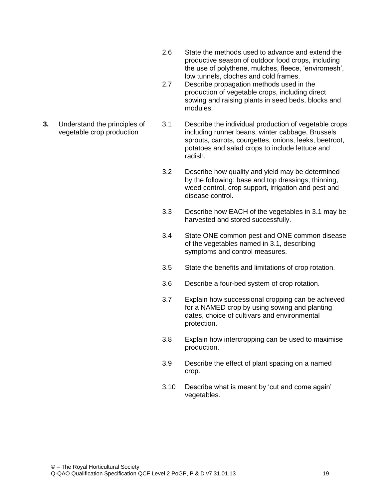- 2.6 State the methods used to advance and extend the productive season of outdoor food crops, including the use of polythene, mulches, fleece, 'enviromesh', low tunnels, cloches and cold frames.
- 2.7 Describe propagation methods used in the production of vegetable crops, including direct sowing and raising plants in seed beds, blocks and modules.
- 3.1 Describe the individual production of vegetable crops including runner beans, winter cabbage, Brussels sprouts, carrots, courgettes, onions, leeks, beetroot, potatoes and salad crops to include lettuce and radish.
	- 3.2 Describe how quality and yield may be determined by the following: base and top dressings, thinning, weed control, crop support, irrigation and pest and disease control.
	- 3.3 Describe how EACH of the vegetables in 3.1 may be harvested and stored successfully.
	- 3.4 State ONE common pest and ONE common disease of the vegetables named in 3.1, describing symptoms and control measures.
	- 3.5 State the benefits and limitations of crop rotation.
	- 3.6 Describe a four-bed system of crop rotation.
	- 3.7 Explain how successional cropping can be achieved for a NAMED crop by using sowing and planting dates, choice of cultivars and environmental protection.
	- 3.8 Explain how intercropping can be used to maximise production.
	- 3.9 Describe the effect of plant spacing on a named crop.
	- 3.10 Describe what is meant by 'cut and come again' vegetables.

**3.** Understand the principles of vegetable crop production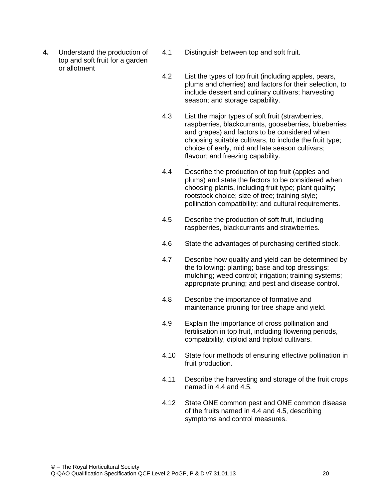- **4.** Understand the production of top and soft fruit for a garden or allotment
- 4.1 Distinguish between top and soft fruit.
- 4.2 List the types of top fruit (including apples, pears, plums and cherries) and factors for their selection, to include dessert and culinary cultivars; harvesting season; and storage capability.
- 4.3 List the major types of soft fruit (strawberries, raspberries, blackcurrants, gooseberries, blueberries and grapes) and factors to be considered when choosing suitable cultivars, to include the fruit type; choice of early, mid and late season cultivars; flavour; and freezing capability.
- . 4.4 Describe the production of top fruit (apples and plums) and state the factors to be considered when choosing plants, including fruit type; plant quality; rootstock choice; size of tree; training style; pollination compatibility; and cultural requirements.
- 4.5 Describe the production of soft fruit, including raspberries, blackcurrants and strawberries.
- 4.6 State the advantages of purchasing certified stock.
- 4.7 Describe how quality and yield can be determined by the following: planting; base and top dressings; mulching; weed control; irrigation; training systems; appropriate pruning; and pest and disease control.
- 4.8 Describe the importance of formative and maintenance pruning for tree shape and yield.
- 4.9 Explain the importance of cross pollination and fertilisation in top fruit, including flowering periods, compatibility, diploid and triploid cultivars.
- 4.10 State four methods of ensuring effective pollination in fruit production.
- 4.11 Describe the harvesting and storage of the fruit crops named in 4.4 and 4.5.
- 4.12 State ONE common pest and ONE common disease of the fruits named in 4.4 and 4.5, describing symptoms and control measures.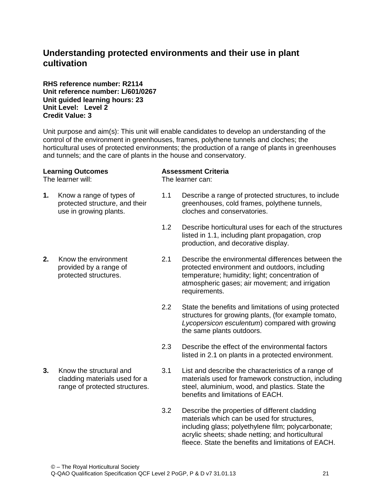### **Understanding protected environments and their use in plant cultivation**

**RHS reference number: R2114 Unit reference number: L/601/0267 Unit guided learning hours: 23 Unit Level: Level 2 Credit Value: 3**

Unit purpose and aim(s): This unit will enable candidates to develop an understanding of the control of the environment in greenhouses, frames, polythene tunnels and cloches; the horticultural uses of protected environments; the production of a range of plants in greenhouses and tunnels; and the care of plants in the house and conservatory.

#### **Learning Outcomes**

The learner will:

- **1.** Know a range of types of protected structure, and their use in growing plants.
- **2.** Know the environment provided by a range of protected structures.

**3.** Know the structural and

cladding materials used for a range of protected structures. **Assessment Criteria**

The learner can:

- 1.1 Describe a range of protected structures, to include greenhouses, cold frames, polythene tunnels, cloches and conservatories.
- 1.2 Describe horticultural uses for each of the structures listed in 1.1, including plant propagation, crop production, and decorative display.
- 2.1 Describe the environmental differences between the protected environment and outdoors, including temperature; humidity; light; concentration of atmospheric gases; air movement; and irrigation requirements.
- 2.2 State the benefits and limitations of using protected structures for growing plants, (for example tomato, *Lycopersicon esculentum*) compared with growing the same plants outdoors.
- 2.3 Describe the effect of the environmental factors listed in 2.1 on plants in a protected environment.
- 3.1 List and describe the characteristics of a range of materials used for framework construction, including steel, aluminium, wood, and plastics. State the benefits and limitations of EACH.
- 3.2 Describe the properties of different cladding materials which can be used for structures, including glass; polyethylene film; polycarbonate; acrylic sheets; shade netting; and horticultural fleece. State the benefits and limitations of EACH.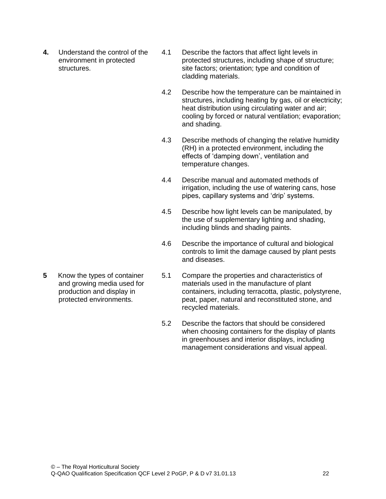- **4.** Understand the control of the environment in protected structures.
- 4.1 Describe the factors that affect light levels in protected structures, including shape of structure; site factors; orientation; type and condition of cladding materials.
- 4.2 Describe how the temperature can be maintained in structures, including heating by gas, oil or electricity; heat distribution using circulating water and air; cooling by forced or natural ventilation; evaporation; and shading.
- 4.3 Describe methods of changing the relative humidity (RH) in a protected environment, including the effects of 'damping down', ventilation and temperature changes.
- 4.4 Describe manual and automated methods of irrigation, including the use of watering cans, hose pipes, capillary systems and 'drip' systems.
- 4.5 Describe how light levels can be manipulated, by the use of supplementary lighting and shading, including blinds and shading paints.
- 4.6 Describe the importance of cultural and biological controls to limit the damage caused by plant pests and diseases.
- 5.1 Compare the properties and characteristics of materials used in the manufacture of plant containers, including terracotta, plastic, polystyrene, peat, paper, natural and reconstituted stone, and recycled materials.
- 5.2 Describe the factors that should be considered when choosing containers for the display of plants in greenhouses and interior displays, including management considerations and visual appeal.
- **5** Know the types of container and growing media used for production and display in protected environments.